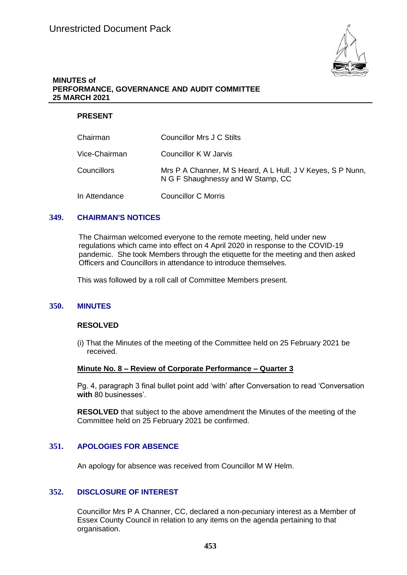

## **MINUTES of PERFORMANCE, GOVERNANCE AND AUDIT COMMITTEE 25 MARCH 2021**

## **PRESENT**

| Chairman      | Councillor Mrs J C Stilts                                                                       |
|---------------|-------------------------------------------------------------------------------------------------|
| Vice-Chairman | Councillor K W Jarvis                                                                           |
| Councillors   | Mrs P A Channer, M S Heard, A L Hull, J V Keyes, S P Nunn,<br>N G F Shaughnessy and W Stamp, CC |
| In Attendance | <b>Councillor C Morris</b>                                                                      |

## **349. CHAIRMAN'S NOTICES**

The Chairman welcomed everyone to the remote meeting, held under new regulations which came into effect on 4 April 2020 in response to the COVID-19 pandemic. She took Members through the etiquette for the meeting and then asked Officers and Councillors in attendance to introduce themselves.

This was followed by a roll call of Committee Members present.

### **350. MINUTES**

#### **RESOLVED**

(i) That the Minutes of the meeting of the Committee held on 25 February 2021 be received.

#### **Minute No. 8 – Review of Corporate Performance – Quarter 3**

Pg. 4, paragraph 3 final bullet point add 'with' after Conversation to read 'Conversation **with** 80 businesses'.

**RESOLVED** that subject to the above amendment the Minutes of the meeting of the Committee held on 25 February 2021 be confirmed.

### **351. APOLOGIES FOR ABSENCE**

An apology for absence was received from Councillor M W Helm.

### **352. DISCLOSURE OF INTEREST**

Councillor Mrs P A Channer, CC, declared a non-pecuniary interest as a Member of Essex County Council in relation to any items on the agenda pertaining to that organisation.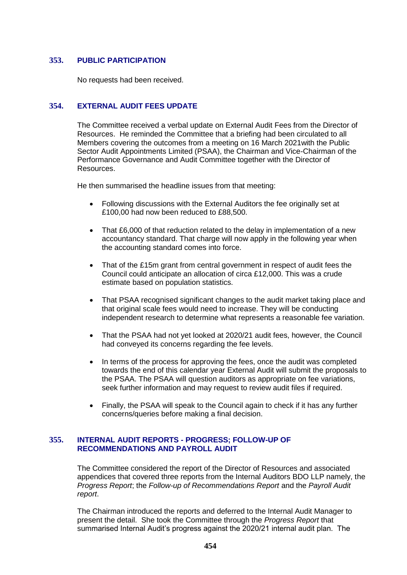## **353. PUBLIC PARTICIPATION**

No requests had been received.

# **354. EXTERNAL AUDIT FEES UPDATE**

The Committee received a verbal update on External Audit Fees from the Director of Resources. He reminded the Committee that a briefing had been circulated to all Members covering the outcomes from a meeting on 16 March 2021with the Public Sector Audit Appointments Limited (PSAA), the Chairman and Vice-Chairman of the Performance Governance and Audit Committee together with the Director of Resources.

He then summarised the headline issues from that meeting:

- Following discussions with the External Auditors the fee originally set at £100,00 had now been reduced to £88,500.
- That £6,000 of that reduction related to the delay in implementation of a new accountancy standard. That charge will now apply in the following year when the accounting standard comes into force.
- That of the £15m grant from central government in respect of audit fees the Council could anticipate an allocation of circa £12,000. This was a crude estimate based on population statistics.
- That PSAA recognised significant changes to the audit market taking place and that original scale fees would need to increase. They will be conducting independent research to determine what represents a reasonable fee variation.
- That the PSAA had not yet looked at 2020/21 audit fees, however, the Council had conveyed its concerns regarding the fee levels.
- In terms of the process for approving the fees, once the audit was completed towards the end of this calendar year External Audit will submit the proposals to the PSAA. The PSAA will question auditors as appropriate on fee variations, seek further information and may request to review audit files if required.
- Finally, the PSAA will speak to the Council again to check if it has any further concerns/queries before making a final decision.

## **355. INTERNAL AUDIT REPORTS - PROGRESS; FOLLOW-UP OF RECOMMENDATIONS AND PAYROLL AUDIT**

The Committee considered the report of the Director of Resources and associated appendices that covered three reports from the Internal Auditors BDO LLP namely, the *Progress Report*; the *Follow-up of Recommendations Report* and the *Payroll Audit report*.

The Chairman introduced the reports and deferred to the Internal Audit Manager to present the detail. She took the Committee through the *Progress Report* that summarised Internal Audit's progress against the 2020/21 internal audit plan. The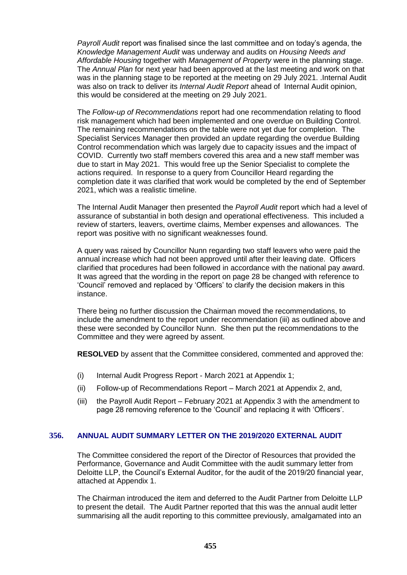*Payroll Audit* report was finalised since the last committee and on today's agenda, the *Knowledge Management Audit* was underway and audits on *Housing Needs and Affordable Housing* together with *Management of Property* were in the planning stage. The *Annual Plan* for next year had been approved at the last meeting and work on that was in the planning stage to be reported at the meeting on 29 July 2021. .Internal Audit was also on track to deliver its *Internal Audit Report* ahead of Internal Audit opinion, this would be considered at the meeting on 29 July 2021.

The *Follow-up of Recommendations* report had one recommendation relating to flood risk management which had been implemented and one overdue on Building Control. The remaining recommendations on the table were not yet due for completion. The Specialist Services Manager then provided an update regarding the overdue Building Control recommendation which was largely due to capacity issues and the impact of COVID. Currently two staff members covered this area and a new staff member was due to start in May 2021. This would free up the Senior Specialist to complete the actions required. In response to a query from Councillor Heard regarding the completion date it was clarified that work would be completed by the end of September 2021, which was a realistic timeline.

The Internal Audit Manager then presented the *Payroll Audit* report which had a level of assurance of substantial in both design and operational effectiveness. This included a review of starters, leavers, overtime claims, Member expenses and allowances. The report was positive with no significant weaknesses found.

A query was raised by Councillor Nunn regarding two staff leavers who were paid the annual increase which had not been approved until after their leaving date. Officers clarified that procedures had been followed in accordance with the national pay award. It was agreed that the wording in the report on page 28 be changed with reference to 'Council' removed and replaced by 'Officers' to clarify the decision makers in this instance.

There being no further discussion the Chairman moved the recommendations, to include the amendment to the report under recommendation (iii) as outlined above and these were seconded by Councillor Nunn. She then put the recommendations to the Committee and they were agreed by assent.

**RESOLVED** by assent that the Committee considered, commented and approved the:

- (i) Internal Audit Progress Report March 2021 at Appendix 1;
- (ii) Follow-up of Recommendations Report March 2021 at Appendix 2, and,
- (iii) the Payroll Audit Report February 2021 at Appendix 3 with the amendment to page 28 removing reference to the 'Council' and replacing it with 'Officers'.

### **356. ANNUAL AUDIT SUMMARY LETTER ON THE 2019/2020 EXTERNAL AUDIT**

The Committee considered the report of the Director of Resources that provided the Performance, Governance and Audit Committee with the audit summary letter from Deloitte LLP, the Council's External Auditor, for the audit of the 2019/20 financial year, attached at Appendix 1.

The Chairman introduced the item and deferred to the Audit Partner from Deloitte LLP to present the detail. The Audit Partner reported that this was the annual audit letter summarising all the audit reporting to this committee previously, amalgamated into an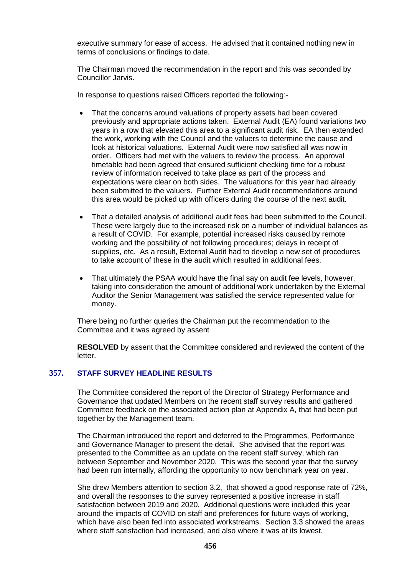executive summary for ease of access. He advised that it contained nothing new in terms of conclusions or findings to date.

The Chairman moved the recommendation in the report and this was seconded by Councillor Jarvis.

In response to questions raised Officers reported the following:-

- That the concerns around valuations of property assets had been covered previously and appropriate actions taken. External Audit (EA) found variations two years in a row that elevated this area to a significant audit risk. EA then extended the work, working with the Council and the valuers to determine the cause and look at historical valuations. External Audit were now satisfied all was now in order. Officers had met with the valuers to review the process. An approval timetable had been agreed that ensured sufficient checking time for a robust review of information received to take place as part of the process and expectations were clear on both sides. The valuations for this year had already been submitted to the valuers. Further External Audit recommendations around this area would be picked up with officers during the course of the next audit.
- That a detailed analysis of additional audit fees had been submitted to the Council. These were largely due to the increased risk on a number of individual balances as a result of COVID. For example, potential increased risks caused by remote working and the possibility of not following procedures; delays in receipt of supplies, etc. As a result, External Audit had to develop a new set of procedures to take account of these in the audit which resulted in additional fees.
- That ultimately the PSAA would have the final say on audit fee levels, however, taking into consideration the amount of additional work undertaken by the External Auditor the Senior Management was satisfied the service represented value for money.

There being no further queries the Chairman put the recommendation to the Committee and it was agreed by assent

**RESOLVED** by assent that the Committee considered and reviewed the content of the letter.

### **357. STAFF SURVEY HEADLINE RESULTS**

The Committee considered the report of the Director of Strategy Performance and Governance that updated Members on the recent staff survey results and gathered Committee feedback on the associated action plan at Appendix A, that had been put together by the Management team.

The Chairman introduced the report and deferred to the Programmes, Performance and Governance Manager to present the detail. She advised that the report was presented to the Committee as an update on the recent staff survey, which ran between September and November 2020. This was the second year that the survey had been run internally, affording the opportunity to now benchmark year on year.

She drew Members attention to section 3.2, that showed a good response rate of 72%, and overall the responses to the survey represented a positive increase in staff satisfaction between 2019 and 2020. Additional questions were included this year around the impacts of COVID on staff and preferences for future ways of working, which have also been fed into associated workstreams. Section 3.3 showed the areas where staff satisfaction had increased, and also where it was at its lowest.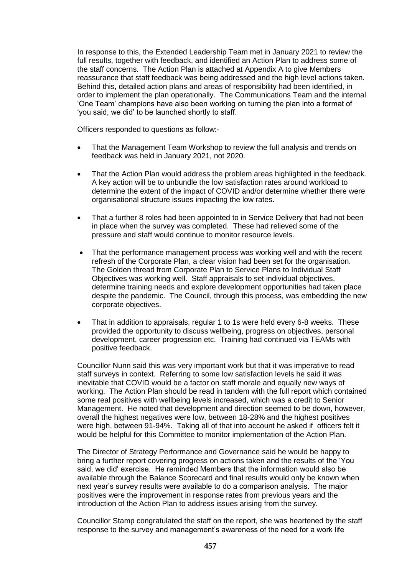In response to this, the Extended Leadership Team met in January 2021 to review the full results, together with feedback, and identified an Action Plan to address some of the staff concerns. The Action Plan is attached at Appendix A to give Members reassurance that staff feedback was being addressed and the high level actions taken. Behind this, detailed action plans and areas of responsibility had been identified, in order to implement the plan operationally. The Communications Team and the internal 'One Team' champions have also been working on turning the plan into a format of 'you said, we did' to be launched shortly to staff.

Officers responded to questions as follow:-

- That the Management Team Workshop to review the full analysis and trends on feedback was held in January 2021, not 2020.
- That the Action Plan would address the problem areas highlighted in the feedback. A key action will be to unbundle the low satisfaction rates around workload to determine the extent of the impact of COVID and/or determine whether there were organisational structure issues impacting the low rates.
- That a further 8 roles had been appointed to in Service Delivery that had not been in place when the survey was completed. These had relieved some of the pressure and staff would continue to monitor resource levels.
- That the performance management process was working well and with the recent refresh of the Corporate Plan, a clear vision had been set for the organisation. The Golden thread from Corporate Plan to Service Plans to Individual Staff Objectives was working well. Staff appraisals to set individual objectives, determine training needs and explore development opportunities had taken place despite the pandemic. The Council, through this process, was embedding the new corporate objectives.
- That in addition to appraisals, regular 1 to 1s were held every 6-8 weeks. These provided the opportunity to discuss wellbeing, progress on objectives, personal development, career progression etc. Training had continued via TEAMs with positive feedback.

Councillor Nunn said this was very important work but that it was imperative to read staff surveys in context. Referring to some low satisfaction levels he said it was inevitable that COVID would be a factor on staff morale and equally new ways of working. The Action Plan should be read in tandem with the full report which contained some real positives with wellbeing levels increased, which was a credit to Senior Management. He noted that development and direction seemed to be down, however, overall the highest negatives were low, between 18-28% and the highest positives were high, between 91-94%. Taking all of that into account he asked if officers felt it would be helpful for this Committee to monitor implementation of the Action Plan.

The Director of Strategy Performance and Governance said he would be happy to bring a further report covering progress on actions taken and the results of the 'You said, we did' exercise. He reminded Members that the information would also be available through the Balance Scorecard and final results would only be known when next year's survey results were available to do a comparison analysis. The major positives were the improvement in response rates from previous years and the introduction of the Action Plan to address issues arising from the survey.

Councillor Stamp congratulated the staff on the report, she was heartened by the staff response to the survey and management's awareness of the need for a work life